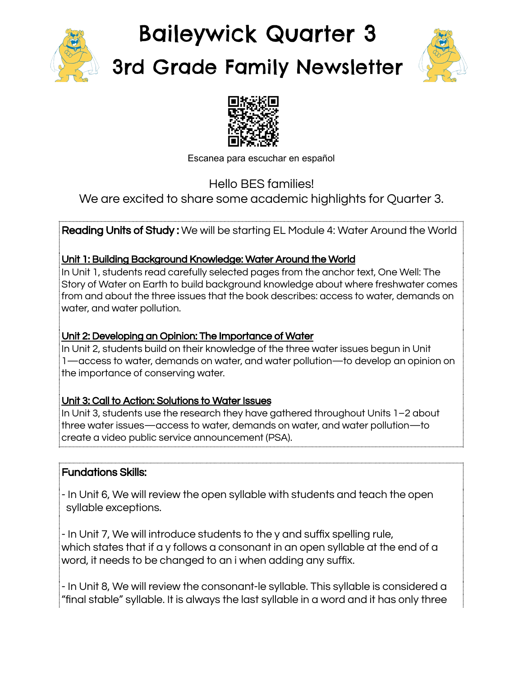

# Baileywick Quarter 3 3rd Grade Family Newsletter





Escanea para escuchar en español

Hello BES families!

We are excited to share some academic highlights for Quarter 3.

Reading Units of Study: We will be starting EL Module 4: Water Around the World

# Unit 1: Building Background Knowledge: Water Around the World

In Unit 1, students read carefully selected pages from the anchor text, One Well: The Story of Water on Earth to build background knowledge about where freshwater comes from and about the three issues that the book describes: access to water, demands on water, and water pollution.

# Unit 2: Developing an Opinion: The Importance of Water

In Unit 2, students build on their knowledge of the three water issues begun in Unit 1—access to water, demands on water, and water pollution—to develop an opinion on the importance of conserving water.

## Unit 3: Call to Action: Solutions to Water Issues

In Unit 3, students use the research they have gathered throughout Units 1–2 about three water issues—access to water, demands on water, and water pollution—to create a video public service announcement (PSA).

# Fundations Skills:

- In Unit 6, We will review the open syllable with students and teach the open syllable exceptions.

- In Unit 7, We will introduce students to the y and suffix spelling rule, which states that if a y follows a consonant in an open syllable at the end of a word, it needs to be changed to an i when adding any suffix.

- In Unit 8, We will review the consonant-le syllable. This syllable is considered a "final stable" syllable. It is always the last syllable in a word and it has only three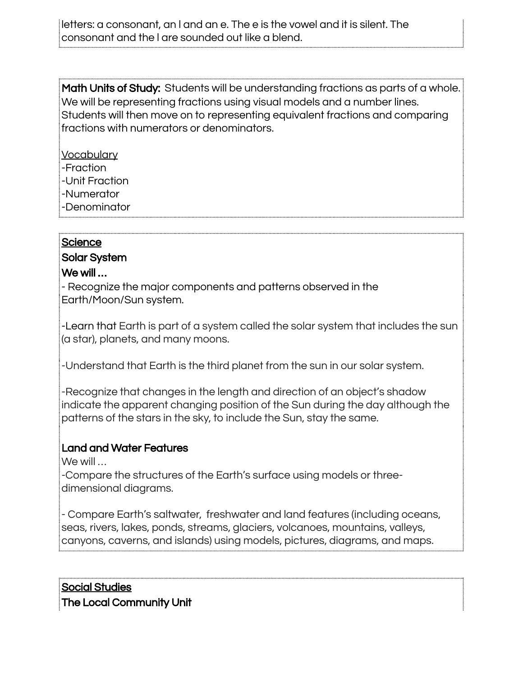letters: a consonant, an l and an e. The e is the vowel and it is silent. The consonant and the l are sounded out like a blend.

Math Units of Study: Students will be understanding fractions as parts of a whole. We will be representing fractions using visual models and a number lines. Students will then move on to representing equivalent fractions and comparing fractions with numerators or denominators.

- **Vocabulary**
- -Fraction
- -Unit Fraction
- -Numerator
- -Denominator

#### **Science**

#### Solar System

#### We will …

- Recognize the major components and patterns observed in the Earth/Moon/Sun system.

-Learn that Earth is part of a system called the solar system that includes the sun (a star), planets, and many moons.

-Understand that Earth is the third planet from the sun in our solar system.

-Recognize that changes in the length and direction of an object's shadow indicate the apparent changing position of the Sun during the day although the patterns of the stars in the sky, to include the Sun, stay the same.

## Land and Water Features

We will …

-Compare the structures of the Earth's surface using models or threedimensional diagrams.

- Compare Earth's saltwater, freshwater and land features (including oceans, seas, rivers, lakes, ponds, streams, glaciers, volcanoes, mountains, valleys, canyons, caverns, and islands) using models, pictures, diagrams, and maps.

Social Studies The Local Community Unit